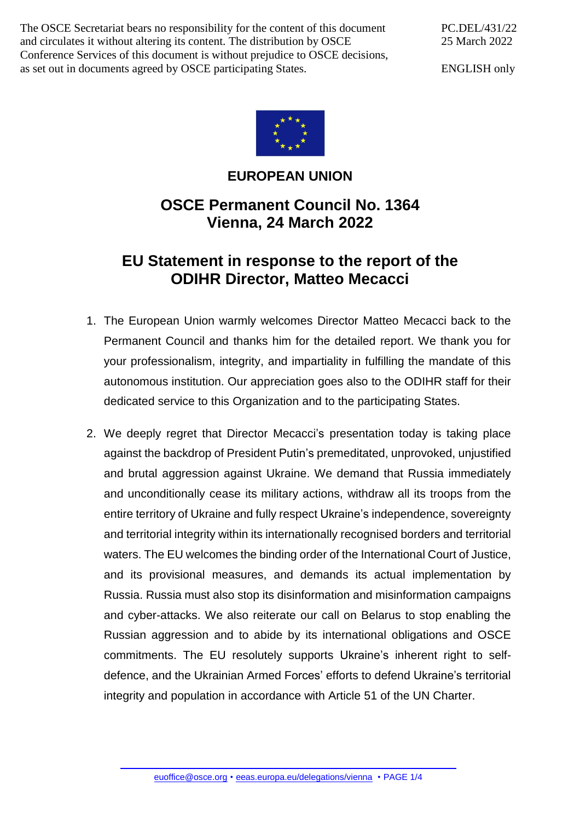The OSCE Secretariat bears no responsibility for the content of this document and circulates it without altering its content. The distribution by OSCE Conference Services of this document is without prejudice to OSCE decisions, as set out in documents agreed by OSCE participating States.

PC.DEL/431/22 25 March 2022

ENGLISH only



## **EUROPEAN UNION**

## **OSCE Permanent Council No. 1364 Vienna, 24 March 2022**

## **EU Statement in response to the report of the ODIHR Director, Matteo Mecacci**

- 1. The European Union warmly welcomes Director Matteo Mecacci back to the Permanent Council and thanks him for the detailed report. We thank you for your professionalism, integrity, and impartiality in fulfilling the mandate of this autonomous institution. Our appreciation goes also to the ODIHR staff for their dedicated service to this Organization and to the participating States.
- 2. We deeply regret that Director Mecacci's presentation today is taking place against the backdrop of President Putin's premeditated, unprovoked, unjustified and brutal aggression against Ukraine. We demand that Russia immediately and unconditionally cease its military actions, withdraw all its troops from the entire territory of Ukraine and fully respect Ukraine's independence, sovereignty and territorial integrity within its internationally recognised borders and territorial waters. The EU welcomes the binding order of the International Court of Justice, and its provisional measures, and demands its actual implementation by Russia. Russia must also stop its disinformation and misinformation campaigns and cyber-attacks. We also reiterate our call on Belarus to stop enabling the Russian aggression and to abide by its international obligations and OSCE commitments. The EU resolutely supports Ukraine's inherent right to selfdefence, and the Ukrainian Armed Forces' efforts to defend Ukraine's territorial integrity and population in accordance with Article 51 of the UN Charter.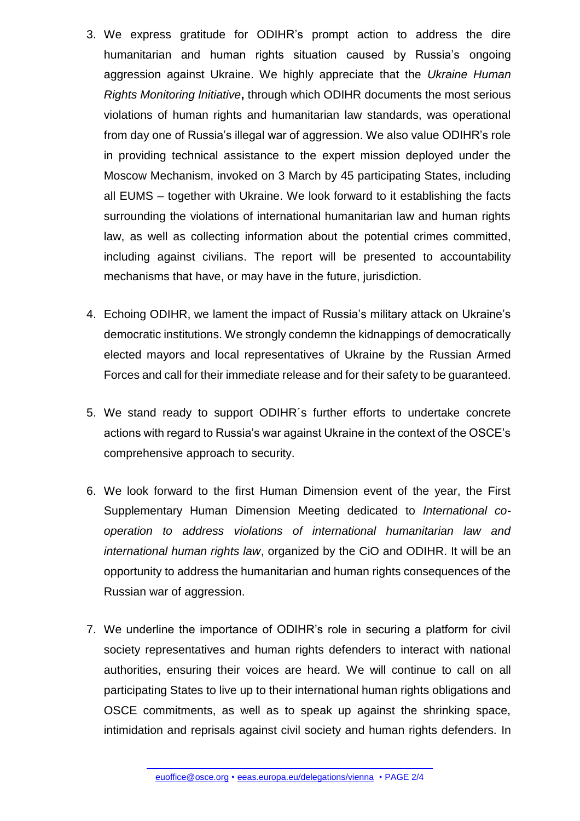- 3. We express gratitude for ODIHR's prompt action to address the dire humanitarian and human rights situation caused by Russia's ongoing aggression against Ukraine. We highly appreciate that the *Ukraine Human Rights Monitoring Initiative***,** through which ODIHR documents the most serious violations of human rights and humanitarian law standards, was operational from day one of Russia's illegal war of aggression. We also value ODIHR's role in providing technical assistance to the expert mission deployed under the Moscow Mechanism, invoked on 3 March by 45 participating States, including all EUMS – together with Ukraine. We look forward to it establishing the facts surrounding the violations of international humanitarian law and human rights law, as well as collecting information about the potential crimes committed, including against civilians. The report will be presented to accountability mechanisms that have, or may have in the future, jurisdiction.
- 4. Echoing ODIHR, we lament the impact of Russia's military attack on Ukraine's democratic institutions. We strongly condemn the kidnappings of democratically elected mayors and local representatives of Ukraine by the Russian Armed Forces and call for their immediate release and for their safety to be guaranteed.
- 5. We stand ready to support ODIHR´s further efforts to undertake concrete actions with regard to Russia's war against Ukraine in the context of the OSCE's comprehensive approach to security.
- 6. We look forward to the first Human Dimension event of the year, the First Supplementary Human Dimension Meeting dedicated to *International cooperation to address violations of international humanitarian law and international human rights law*, organized by the CiO and ODIHR. It will be an opportunity to address the humanitarian and human rights consequences of the Russian war of aggression.
- 7. We underline the importance of ODIHR's role in securing a platform for civil society representatives and human rights defenders to interact with national authorities, ensuring their voices are heard. We will continue to call on all participating States to live up to their international human rights obligations and OSCE commitments, as well as to speak up against the shrinking space, intimidation and reprisals against civil society and human rights defenders. In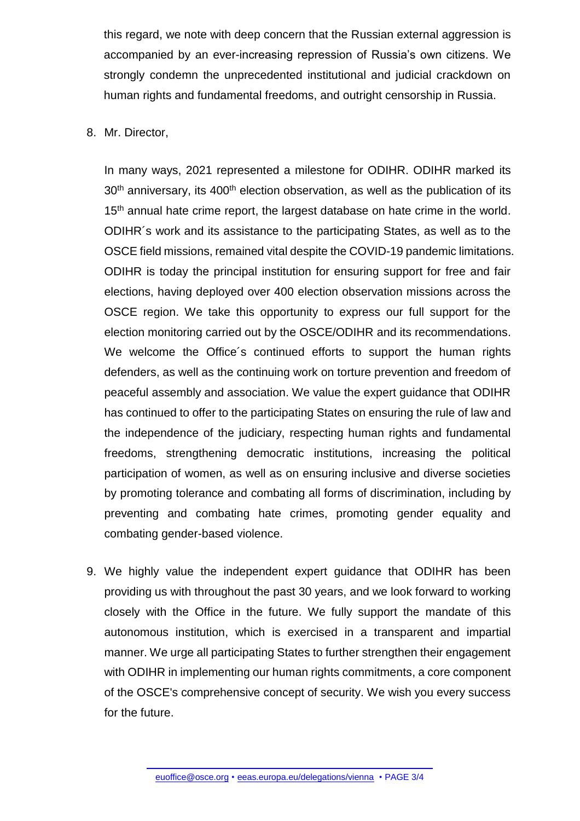this regard, we note with deep concern that the Russian external aggression is accompanied by an ever-increasing repression of Russia's own citizens. We strongly condemn the unprecedented institutional and judicial crackdown on human rights and fundamental freedoms, and outright censorship in Russia.

8. Mr. Director,

In many ways, 2021 represented a milestone for ODIHR. ODIHR marked its  $30<sup>th</sup>$  anniversary, its  $400<sup>th</sup>$  election observation, as well as the publication of its 15<sup>th</sup> annual hate crime report, the largest database on hate crime in the world. ODIHR´s work and its assistance to the participating States, as well as to the OSCE field missions, remained vital despite the COVID-19 pandemic limitations. ODIHR is today the principal institution for ensuring support for free and fair elections, having deployed over 400 election observation missions across the OSCE region. We take this opportunity to express our full support for the election monitoring carried out by the OSCE/ODIHR and its recommendations. We welcome the Office´s continued efforts to support the human rights defenders, as well as the continuing work on torture prevention and freedom of peaceful assembly and association. We value the expert guidance that ODIHR has continued to offer to the participating States on ensuring the rule of law and the independence of the judiciary, respecting human rights and fundamental freedoms, strengthening democratic institutions, increasing the political participation of women, as well as on ensuring inclusive and diverse societies by promoting tolerance and combating all forms of discrimination, including by preventing and combating hate crimes, promoting gender equality and combating gender-based violence.

9. We highly value the independent expert guidance that ODIHR has been providing us with throughout the past 30 years, and we look forward to working closely with the Office in the future. We fully support the mandate of this autonomous institution, which is exercised in a transparent and impartial manner. We urge all participating States to further strengthen their engagement with ODIHR in implementing our human rights commitments, a core component of the OSCE's comprehensive concept of security. We wish you every success for the future.